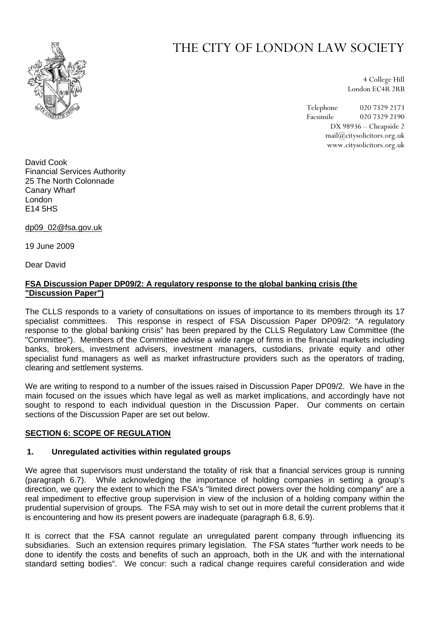

# THE CITY OF LONDON LAW SOCIETY

4 College Hill London EC4R 2RB

Telephone 020 7329 2173 Facsimile 020 7329 2190 DX 98936 – Cheapside 2 mail@citysolicitors.org.uk www.citysolicitors.org.uk

David Cook Financial Services Authority 25 The North Colonnade Canary Wharf London E14 5HS

dp09\_02@fsa.gov.uk

19 June 2009

Dear David

# **FSA Discussion Paper DP09/2: A regulatory response to the global banking crisis (the "Discussion Paper")**

The CLLS responds to a variety of consultations on issues of importance to its members through its 17 specialist committees. This response in respect of FSA Discussion Paper DP09/2: "A regulatory response to the global banking crisis" has been prepared by the CLLS Regulatory Law Committee (the "Committee"). Members of the Committee advise a wide range of firms in the financial markets including banks, brokers, investment advisers, investment managers, custodians, private equity and other specialist fund managers as well as market infrastructure providers such as the operators of trading, clearing and settlement systems.

We are writing to respond to a number of the issues raised in Discussion Paper DP09/2. We have in the main focused on the issues which have legal as well as market implications, and accordingly have not sought to respond to each individual question in the Discussion Paper. Our comments on certain sections of the Discussion Paper are set out below.

# **SECTION 6: SCOPE OF REGULATION**

# **1. Unregulated activities within regulated groups**

We agree that supervisors must understand the totality of risk that a financial services group is running (paragraph 6.7). While acknowledging the importance of holding companies in setting a group's direction, we query the extent to which the FSA's "limited direct powers over the holding company" are a real impediment to effective group supervision in view of the inclusion of a holding company within the prudential supervision of groups. The FSA may wish to set out in more detail the current problems that it is encountering and how its present powers are inadequate (paragraph 6.8, 6.9).

It is correct that the FSA cannot regulate an unregulated parent company through influencing its subsidiaries. Such an extension requires primary legislation. The FSA states "further work needs to be done to identify the costs and benefits of such an approach, both in the UK and with the international standard setting bodies". We concur: such a radical change requires careful consideration and wide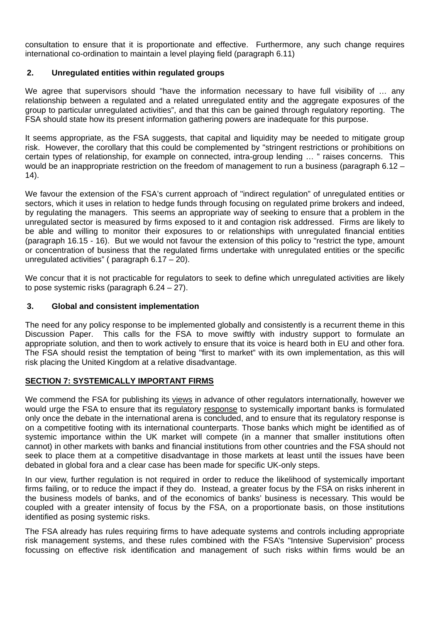consultation to ensure that it is proportionate and effective. Furthermore, any such change requires international co-ordination to maintain a level playing field (paragraph 6.11)

# **2. Unregulated entities within regulated groups**

We agree that supervisors should "have the information necessary to have full visibility of ... any relationship between a regulated and a related unregulated entity and the aggregate exposures of the group to particular unregulated activities", and that this can be gained through regulatory reporting. The FSA should state how its present information gathering powers are inadequate for this purpose.

It seems appropriate, as the FSA suggests, that capital and liquidity may be needed to mitigate group risk. However, the corollary that this could be complemented by "stringent restrictions or prohibitions on certain types of relationship, for example on connected, intra-group lending … " raises concerns. This would be an inappropriate restriction on the freedom of management to run a business (paragraph 6.12 –  $(14)$ .

We favour the extension of the FSA's current approach of "indirect regulation" of unregulated entities or sectors, which it uses in relation to hedge funds through focusing on regulated prime brokers and indeed, by regulating the managers. This seems an appropriate way of seeking to ensure that a problem in the unregulated sector is measured by firms exposed to it and contagion risk addressed. Firms are likely to be able and willing to monitor their exposures to or relationships with unregulated financial entities (paragraph 16.15 - 16). But we would not favour the extension of this policy to "restrict the type, amount or concentration of business that the regulated firms undertake with unregulated entities or the specific unregulated activities" ( paragraph 6.17 – 20).

We concur that it is not practicable for regulators to seek to define which unregulated activities are likely to pose systemic risks (paragraph  $6.24 - 27$ ).

# **3. Global and consistent implementation**

The need for any policy response to be implemented globally and consistently is a recurrent theme in this Discussion Paper. This calls for the FSA to move swiftly with industry support to formulate an appropriate solution, and then to work actively to ensure that its voice is heard both in EU and other fora. The FSA should resist the temptation of being "first to market" with its own implementation, as this will risk placing the United Kingdom at a relative disadvantage.

# **SECTION 7: SYSTEMICALLY IMPORTANT FIRMS**

We commend the FSA for publishing its views in advance of other regulators internationally, however we would urge the FSA to ensure that its regulatory response to systemically important banks is formulated only once the debate in the international arena is concluded, and to ensure that its regulatory response is on a competitive footing with its international counterparts. Those banks which might be identified as of systemic importance within the UK market will compete (in a manner that smaller institutions often cannot) in other markets with banks and financial institutions from other countries and the FSA should not seek to place them at a competitive disadvantage in those markets at least until the issues have been debated in global fora and a clear case has been made for specific UK-only steps.

In our view, further regulation is not required in order to reduce the likelihood of systemically important firms failing, or to reduce the impact if they do. Instead, a greater focus by the FSA on risks inherent in the business models of banks, and of the economics of banks' business is necessary. This would be coupled with a greater intensity of focus by the FSA, on a proportionate basis, on those institutions identified as posing systemic risks.

The FSA already has rules requiring firms to have adequate systems and controls including appropriate risk management systems, and these rules combined with the FSA's "Intensive Supervision" process focussing on effective risk identification and management of such risks within firms would be an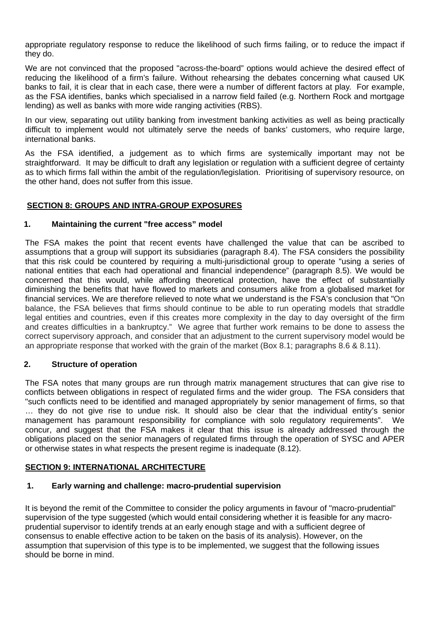appropriate regulatory response to reduce the likelihood of such firms failing, or to reduce the impact if they do.

We are not convinced that the proposed "across-the-board" options would achieve the desired effect of reducing the likelihood of a firm's failure. Without rehearsing the debates concerning what caused UK banks to fail, it is clear that in each case, there were a number of different factors at play. For example, as the FSA identifies, banks which specialised in a narrow field failed (e.g. Northern Rock and mortgage lending) as well as banks with more wide ranging activities (RBS).

In our view, separating out utility banking from investment banking activities as well as being practically difficult to implement would not ultimately serve the needs of banks' customers, who require large, international banks.

As the FSA identified, a judgement as to which firms are systemically important may not be straightforward. It may be difficult to draft any legislation or regulation with a sufficient degree of certainty as to which firms fall within the ambit of the regulation/legislation. Prioritising of supervisory resource, on the other hand, does not suffer from this issue.

# **SECTION 8: GROUPS AND INTRA-GROUP EXPOSURES**

# **1. Maintaining the current "free access" model**

The FSA makes the point that recent events have challenged the value that can be ascribed to assumptions that a group will support its subsidiaries (paragraph 8.4). The FSA considers the possibility that this risk could be countered by requiring a multi-jurisdictional group to operate "using a series of national entities that each had operational and financial independence" (paragraph 8.5). We would be concerned that this would, while affording theoretical protection, have the effect of substantially diminishing the benefits that have flowed to markets and consumers alike from a globalised market for financial services. We are therefore relieved to note what we understand is the FSA's conclusion that "On balance, the FSA believes that firms should continue to be able to run operating models that straddle legal entities and countries, even if this creates more complexity in the day to day oversight of the firm and creates difficulties in a bankruptcy." We agree that further work remains to be done to assess the correct supervisory approach, and consider that an adjustment to the current supervisory model would be an appropriate response that worked with the grain of the market (Box 8.1; paragraphs 8.6 & 8.11).

# **2. Structure of operation**

The FSA notes that many groups are run through matrix management structures that can give rise to conflicts between obligations in respect of regulated firms and the wider group. The FSA considers that "such conflicts need to be identified and managed appropriately by senior management of firms, so that … they do not give rise to undue risk. It should also be clear that the individual entity's senior management has paramount responsibility for compliance with solo regulatory requirements". We concur, and suggest that the FSA makes it clear that this issue is already addressed through the obligations placed on the senior managers of regulated firms through the operation of SYSC and APER or otherwise states in what respects the present regime is inadequate (8.12).

#### **SECTION 9: INTERNATIONAL ARCHITECTURE**

#### **1. Early warning and challenge: macro-prudential supervision**

It is beyond the remit of the Committee to consider the policy arguments in favour of "macro-prudential" supervision of the type suggested (which would entail considering whether it is feasible for any macroprudential supervisor to identify trends at an early enough stage and with a sufficient degree of consensus to enable effective action to be taken on the basis of its analysis). However, on the assumption that supervision of this type is to be implemented, we suggest that the following issues should be borne in mind.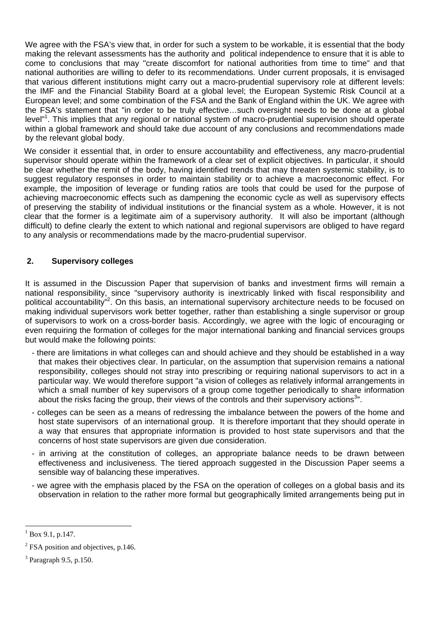We agree with the FSA's view that, in order for such a system to be workable, it is essential that the body making the relevant assessments has the authority and political independence to ensure that it is able to come to conclusions that may "create discomfort for national authorities from time to time" and that national authorities are willing to defer to its recommendations. Under current proposals, it is envisaged that various different institutions might carry out a macro-prudential supervisory role at different levels: the IMF and the Financial Stability Board at a global level; the European Systemic Risk Council at a European level; and some combination of the FSA and the Bank of England within the UK. We agree with the FSA's statement that "in order to be truly effective…such oversight needs to be done at a global level"<sup>1</sup>. This implies that any regional or national system of macro-prudential supervision should operate within a global framework and should take due account of any conclusions and recommendations made by the relevant global body.

We consider it essential that, in order to ensure accountability and effectiveness, any macro-prudential supervisor should operate within the framework of a clear set of explicit objectives. In particular, it should be clear whether the remit of the body, having identified trends that may threaten systemic stability, is to suggest regulatory responses in order to maintain stability or to achieve a macroeconomic effect. For example, the imposition of leverage or funding ratios are tools that could be used for the purpose of achieving macroeconomic effects such as dampening the economic cycle as well as supervisory effects of preserving the stability of individual institutions or the financial system as a whole. However, it is not clear that the former is a legitimate aim of a supervisory authority. It will also be important (although difficult) to define clearly the extent to which national and regional supervisors are obliged to have regard to any analysis or recommendations made by the macro-prudential supervisor.

# **2. Supervisory colleges**

It is assumed in the Discussion Paper that supervision of banks and investment firms will remain a national responsibility, since "supervisory authority is inextricably linked with fiscal responsibility and political accountability"<sup>2</sup>[.](#page-3-1) On this basis, an international supervisory architecture needs to be focused on making individual supervisors work better together, rather than establishing a single supervisor or group of supervisors to work on a cross-border basis. Accordingly, we agree with the logic of encouraging or even requiring the formation of colleges for the major international banking and financial services groups but would make the following points:

- there are limitations in what colleges can and should achieve and they should be established in a way that makes their objectives clear. In particular, on the assumption that supervision remains a national responsibility, colleges should not stray into prescribing or requiring national supervisors to act in a particular way. We would therefore support "a vision of colleges as relatively informal arrangements in which a small number of key supervisors of a group come together periodically to share information about the risks facing the group, their views of the controls and their supervisory actions<sup>[3](#page-3-2)</sup>".
- colleges can be seen as a means of redressing the imbalance between the powers of the home and host state supervisors of an international group. It is therefore important that they should operate in a way that ensures that appropriate information is provided to host state supervisors and that the concerns of host state supervisors are given due consideration.
- in arriving at the constitution of colleges, an appropriate balance needs to be drawn between effectiveness and inclusiveness. The tiered approach suggested in the Discussion Paper seems a sensible way of balancing these imperatives.
- we agree with the emphasis placed by the FSA on the operation of colleges on a global basis and its observation in relation to the rather more formal but geographically limited arrangements being put in

 $\overline{a}$ 

<span id="page-3-0"></span> $1^{1}$  Box 9.1, p.147.

<span id="page-3-1"></span> $2$  FSA position and objectives, p.146.

<span id="page-3-2"></span><sup>&</sup>lt;sup>3</sup> Paragraph 9.5, p.150.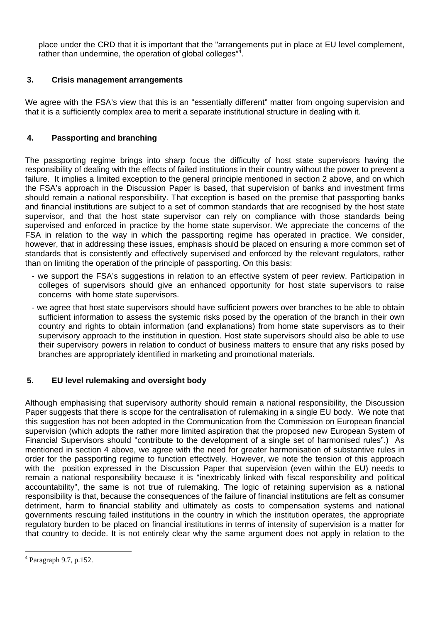place under the CRD that it is important that the "arrangements put in place at EU level complement, rather than undermine, the operation of global colleges" $4$ [.](#page-4-0)

# **3. Crisis management arrangements**

We agree with the FSA's view that this is an "essentially different" matter from ongoing supervision and that it is a sufficiently complex area to merit a separate institutional structure in dealing with it.

# **4. Passporting and branching**

The passporting regime brings into sharp focus the difficulty of host state supervisors having the responsibility of dealing with the effects of failed institutions in their country without the power to prevent a failure. It implies a limited exception to the general principle mentioned in section 2 above, and on which the FSA's approach in the Discussion Paper is based, that supervision of banks and investment firms should remain a national responsibility. That exception is based on the premise that passporting banks and financial institutions are subject to a set of common standards that are recognised by the host state supervisor, and that the host state supervisor can rely on compliance with those standards being supervised and enforced in practice by the home state supervisor. We appreciate the concerns of the FSA in relation to the way in which the passporting regime has operated in practice. We consider, however, that in addressing these issues, emphasis should be placed on ensuring a more common set of standards that is consistently and effectively supervised and enforced by the relevant regulators, rather than on limiting the operation of the principle of passporting. On this basis:

- we support the FSA's suggestions in relation to an effective system of peer review. Participation in colleges of supervisors should give an enhanced opportunity for host state supervisors to raise concerns with home state supervisors.
- we agree that host state supervisors should have sufficient powers over branches to be able to obtain sufficient information to assess the systemic risks posed by the operation of the branch in their own country and rights to obtain information (and explanations) from home state supervisors as to their supervisory approach to the institution in question. Host state supervisors should also be able to use their supervisory powers in relation to conduct of business matters to ensure that any risks posed by branches are appropriately identified in marketing and promotional materials.

# **5. EU level rulemaking and oversight body**

Although emphasising that supervisory authority should remain a national responsibility, the Discussion Paper suggests that there is scope for the centralisation of rulemaking in a single EU body. We note that this suggestion has not been adopted in the Communication from the Commission on European financial supervision (which adopts the rather more limited aspiration that the proposed new European System of Financial Supervisors should "contribute to the development of a single set of harmonised rules".) As mentioned in section 4 above, we agree with the need for greater harmonisation of substantive rules in order for the passporting regime to function effectively. However, we note the tension of this approach with the position expressed in the Discussion Paper that supervision (even within the EU) needs to remain a national responsibility because it is "inextricably linked with fiscal responsibility and political accountability", the same is not true of rulemaking. The logic of retaining supervision as a national responsibility is that, because the consequences of the failure of financial institutions are felt as consumer detriment, harm to financial stability and ultimately as costs to compensation systems and national governments rescuing failed institutions in the country in which the institution operates, the appropriate regulatory burden to be placed on financial institutions in terms of intensity of supervision is a matter for that country to decide. It is not entirely clear why the same argument does not apply in relation to the

 $\overline{a}$ 

<span id="page-4-0"></span><sup>4</sup> Paragraph 9.7, p.152.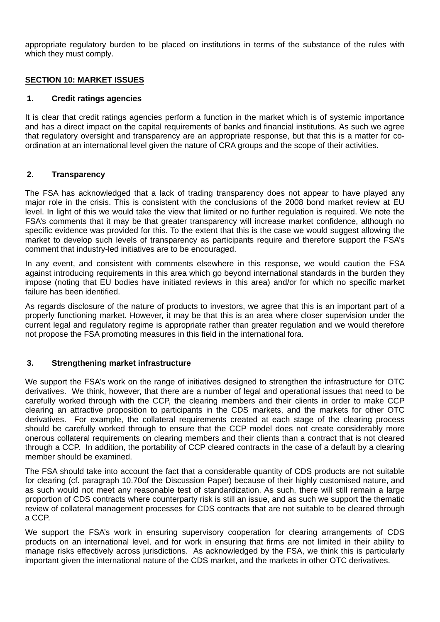appropriate regulatory burden to be placed on institutions in terms of the substance of the rules with which they must comply.

# **SECTION 10: MARKET ISSUES**

## **1. Credit ratings agencies**

It is clear that credit ratings agencies perform a function in the market which is of systemic importance and has a direct impact on the capital requirements of banks and financial institutions. As such we agree that regulatory oversight and transparency are an appropriate response, but that this is a matter for coordination at an international level given the nature of CRA groups and the scope of their activities.

# **2. Transparency**

The FSA has acknowledged that a lack of trading transparency does not appear to have played any major role in the crisis. This is consistent with the conclusions of the 2008 bond market review at EU level. In light of this we would take the view that limited or no further regulation is required. We note the FSA's comments that it may be that greater transparency will increase market confidence, although no specific evidence was provided for this. To the extent that this is the case we would suggest allowing the market to develop such levels of transparency as participants require and therefore support the FSA's comment that industry-led initiatives are to be encouraged.

In any event, and consistent with comments elsewhere in this response, we would caution the FSA against introducing requirements in this area which go beyond international standards in the burden they impose (noting that EU bodies have initiated reviews in this area) and/or for which no specific market failure has been identified.

As regards disclosure of the nature of products to investors, we agree that this is an important part of a properly functioning market. However, it may be that this is an area where closer supervision under the current legal and regulatory regime is appropriate rather than greater regulation and we would therefore not propose the FSA promoting measures in this field in the international fora.

# **3. Strengthening market infrastructure**

We support the FSA's work on the range of initiatives designed to strengthen the infrastructure for OTC derivatives. We think, however, that there are a number of legal and operational issues that need to be carefully worked through with the CCP, the clearing members and their clients in order to make CCP clearing an attractive proposition to participants in the CDS markets, and the markets for other OTC derivatives. For example, the collateral requirements created at each stage of the clearing process should be carefully worked through to ensure that the CCP model does not create considerably more onerous collateral requirements on clearing members and their clients than a contract that is not cleared through a CCP. In addition, the portability of CCP cleared contracts in the case of a default by a clearing member should be examined.

The FSA should take into account the fact that a considerable quantity of CDS products are not suitable for clearing (cf. paragraph 10.70of the Discussion Paper) because of their highly customised nature, and as such would not meet any reasonable test of standardization. As such, there will still remain a large proportion of CDS contracts where counterparty risk is still an issue, and as such we support the thematic review of collateral management processes for CDS contracts that are not suitable to be cleared through a CCP.

We support the FSA's work in ensuring supervisory cooperation for clearing arrangements of CDS products on an international level, and for work in ensuring that firms are not limited in their ability to manage risks effectively across jurisdictions. As acknowledged by the FSA, we think this is particularly important given the international nature of the CDS market, and the markets in other OTC derivatives.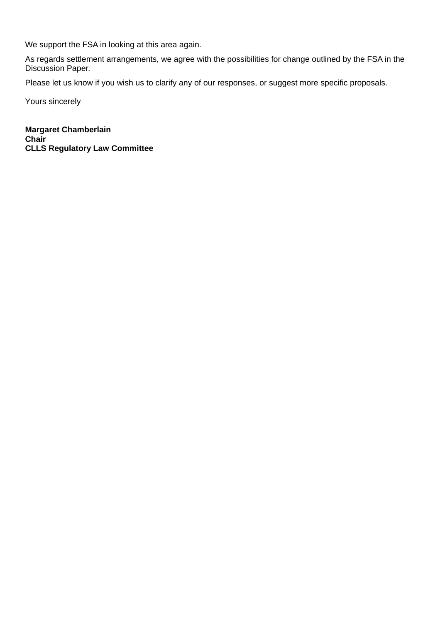We support the FSA in looking at this area again.

As regards settlement arrangements, we agree with the possibilities for change outlined by the FSA in the Discussion Paper.

Please let us know if you wish us to clarify any of our responses, or suggest more specific proposals.

Yours sincerely

**Margaret Chamberlain Chair CLLS Regulatory Law Committee**